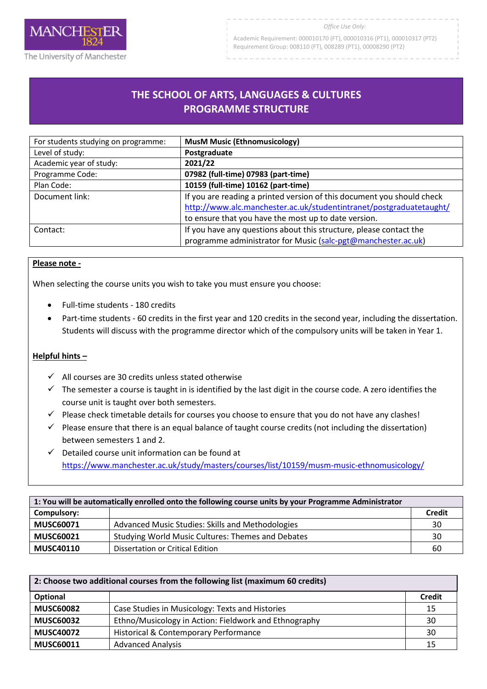

Academic Requirement: 000010170 (FT), 000010316 (PT1), 000010317 (PT2) Requirement Group: 008110 (FT), 008289 (PT1), 00008290 (PT2)

## **THE SCHOOL OF ARTS, LANGUAGES & CULTURES PROGRAMME STRUCTURE**

R

| For students studying on programme: | <b>MusM Music (Ethnomusicology)</b>                                                                                                                                                                   |
|-------------------------------------|-------------------------------------------------------------------------------------------------------------------------------------------------------------------------------------------------------|
| Level of study:                     | Postgraduate                                                                                                                                                                                          |
| Academic year of study:             | 2021/22                                                                                                                                                                                               |
| Programme Code:                     | 07982 (full-time) 07983 (part-time)                                                                                                                                                                   |
| Plan Code:                          | 10159 (full-time) 10162 (part-time)                                                                                                                                                                   |
| Document link:                      | If you are reading a printed version of this document you should check<br>http://www.alc.manchester.ac.uk/studentintranet/postgraduatetaught/<br>to ensure that you have the most up to date version. |
| Contact:                            | If you have any questions about this structure, please contact the<br>programme administrator for Music (salc-pgt@manchester.ac.uk)                                                                   |

## **Please note -**

When selecting the course units you wish to take you must ensure you choose:

- Full-time students 180 credits
- Part-time students 60 credits in the first year and 120 credits in the second year, including the dissertation. Students will discuss with the programme director which of the compulsory units will be taken in Year 1.

## **Helpful hints –**

- $\checkmark$  All courses are 30 credits unless stated otherwise
- $\checkmark$  The semester a course is taught in is identified by the last digit in the course code. A zero identifies the course unit is taught over both semesters.
- $\checkmark$  Please check timetable details for courses you choose to ensure that you do not have any clashes!
- $\checkmark$  Please ensure that there is an equal balance of taught course credits (not including the dissertation) between semesters 1 and 2.
- $\checkmark$  Detailed course unit information can be found at <https://www.manchester.ac.uk/study/masters/courses/list/10159/musm-music-ethnomusicology/>

| 1: You will be automatically enrolled onto the following course units by your Programme Administrator |                                                   |               |
|-------------------------------------------------------------------------------------------------------|---------------------------------------------------|---------------|
| Compulsory:                                                                                           |                                                   | <b>Credit</b> |
| <b>MUSC60071</b>                                                                                      | Advanced Music Studies: Skills and Methodologies  | 30            |
| <b>MUSC60021</b>                                                                                      | Studying World Music Cultures: Themes and Debates | 30            |
| <b>MUSC40110</b>                                                                                      | Dissertation or Critical Edition                  | 60            |

| 2: Choose two additional courses from the following list (maximum 60 credits) |                                                       |               |
|-------------------------------------------------------------------------------|-------------------------------------------------------|---------------|
| Optional                                                                      |                                                       | <b>Credit</b> |
| <b>MUSC60082</b>                                                              | Case Studies in Musicology: Texts and Histories       | 15            |
| <b>MUSC60032</b>                                                              | Ethno/Musicology in Action: Fieldwork and Ethnography | 30            |
| <b>MUSC40072</b>                                                              | Historical & Contemporary Performance                 | 30            |
| <b>MUSC60011</b>                                                              | <b>Advanced Analysis</b>                              | 15            |